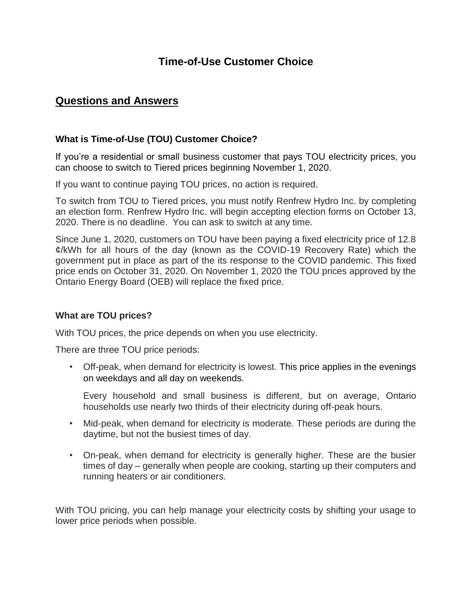# **Time-of-Use Customer Choice**

# **Questions and Answers**

# **What is Time-of-Use (TOU) Customer Choice?**

If you're a residential or small business customer that pays TOU electricity prices, you can choose to switch to Tiered prices beginning November 1, 2020.

If you want to continue paying TOU prices, no action is required.

To switch from TOU to Tiered prices, you must notify Renfrew Hydro Inc. by completing an election form. Renfrew Hydro Inc. will begin accepting election forms on October 13, 2020. There is no deadline. You can ask to switch at any time.

Since June 1, 2020, customers on TOU have been paying a fixed electricity price of 12.8 ¢/kWh for all hours of the day (known as the COVID-19 Recovery Rate) which the government put in place as part of the its response to the COVID pandemic. This fixed price ends on October 31, 2020. On November 1, 2020 the TOU prices approved by the Ontario Energy Board (OEB) will replace the fixed price.

#### **What are TOU prices?**

With TOU prices, the price depends on when you use electricity.

There are three TOU price periods:

• Off-peak, when demand for electricity is lowest. This price applies in the evenings on weekdays and all day on weekends.

Every household and small business is different, but on average, Ontario households use nearly two thirds of their electricity during off-peak hours.

- Mid-peak, when demand for electricity is moderate. These periods are during the daytime, but not the busiest times of day.
- On-peak, when demand for electricity is generally higher. These are the busier times of day – generally when people are cooking, starting up their computers and running heaters or air conditioners.

With TOU pricing, you can help manage your electricity costs by shifting your usage to lower price periods when possible.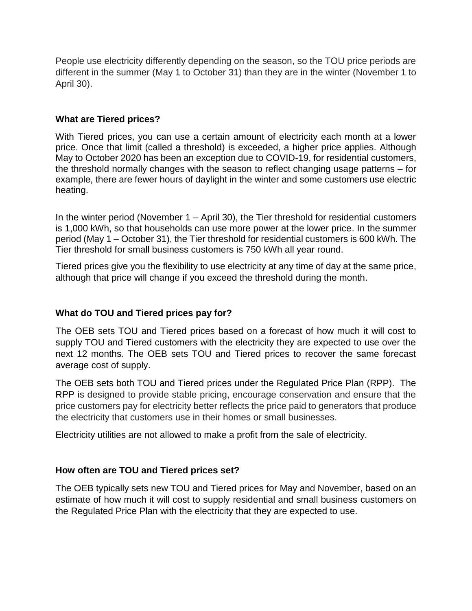People use electricity differently depending on the season, so the TOU price periods are different in the summer (May 1 to October 31) than they are in the winter (November 1 to April 30).

### **What are Tiered prices?**

With Tiered prices, you can use a certain amount of electricity each month at a lower price. Once that limit (called a threshold) is exceeded, a higher price applies. Although May to October 2020 has been an exception due to COVID-19, for residential customers, the threshold normally changes with the season to reflect changing usage patterns – for example, there are fewer hours of daylight in the winter and some customers use electric heating.

In the winter period (November 1 – April 30), the Tier threshold for residential customers is 1,000 kWh, so that households can use more power at the lower price. In the summer period (May 1 – October 31), the Tier threshold for residential customers is 600 kWh. The Tier threshold for small business customers is 750 kWh all year round.

Tiered prices give you the flexibility to use electricity at any time of day at the same price, although that price will change if you exceed the threshold during the month.

# **What do TOU and Tiered prices pay for?**

The OEB sets TOU and Tiered prices based on a forecast of how much it will cost to supply TOU and Tiered customers with the electricity they are expected to use over the next 12 months. The OEB sets TOU and Tiered prices to recover the same forecast average cost of supply.

The OEB sets both TOU and Tiered prices under the Regulated Price Plan (RPP). The RPP is designed to provide stable pricing, encourage conservation and ensure that the price customers pay for electricity better reflects the price paid to generators that produce the electricity that customers use in their homes or small businesses.

Electricity utilities are not allowed to make a profit from the sale of electricity.

# **How often are TOU and Tiered prices set?**

The OEB typically sets new TOU and Tiered prices for May and November, based on an estimate of how much it will cost to supply residential and small business customers on the Regulated Price Plan with the electricity that they are expected to use.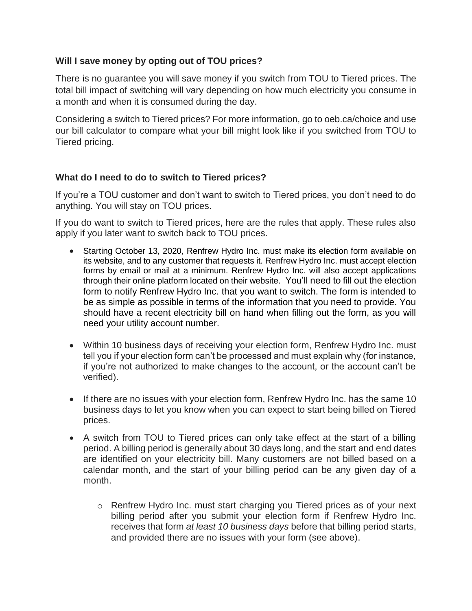### **Will I save money by opting out of TOU prices?**

There is no guarantee you will save money if you switch from TOU to Tiered prices. The total bill impact of switching will vary depending on how much electricity you consume in a month and when it is consumed during the day.

Considering a switch to Tiered prices? For more information, go to oeb.ca/choice and use our bill calculator to compare what your bill might look like if you switched from TOU to Tiered pricing.

#### **What do I need to do to switch to Tiered prices?**

If you're a TOU customer and don't want to switch to Tiered prices, you don't need to do anything. You will stay on TOU prices.

If you do want to switch to Tiered prices, here are the rules that apply. These rules also apply if you later want to switch back to TOU prices.

- Starting October 13, 2020, Renfrew Hydro Inc. must make its election form available on its website, and to any customer that requests it. Renfrew Hydro Inc. must accept election forms by email or mail at a minimum. Renfrew Hydro Inc. will also accept applications through their online platform located on their website. You'll need to fill out the election form to notify Renfrew Hydro Inc. that you want to switch. The form is intended to be as simple as possible in terms of the information that you need to provide. You should have a recent electricity bill on hand when filling out the form, as you will need your utility account number.
- Within 10 business days of receiving your election form, Renfrew Hydro Inc. must tell you if your election form can't be processed and must explain why (for instance, if you're not authorized to make changes to the account, or the account can't be verified).
- If there are no issues with your election form, Renfrew Hydro Inc. has the same 10 business days to let you know when you can expect to start being billed on Tiered prices.
- A switch from TOU to Tiered prices can only take effect at the start of a billing period. A billing period is generally about 30 days long, and the start and end dates are identified on your electricity bill. Many customers are not billed based on a calendar month, and the start of your billing period can be any given day of a month.
	- o Renfrew Hydro Inc. must start charging you Tiered prices as of your next billing period after you submit your election form if Renfrew Hydro Inc. receives that form *at least 10 business days* before that billing period starts, and provided there are no issues with your form (see above).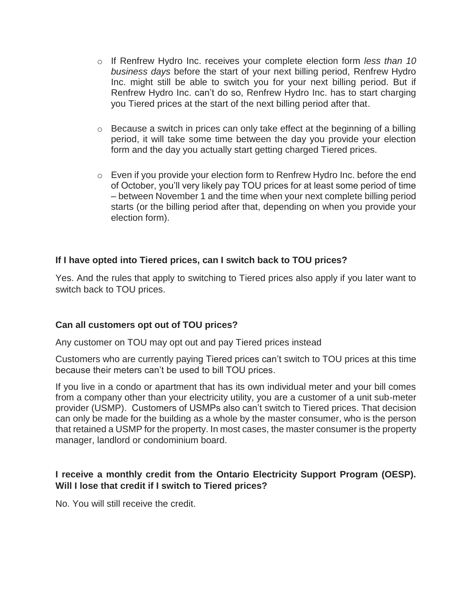- o If Renfrew Hydro Inc. receives your complete election form *less than 10 business days* before the start of your next billing period, Renfrew Hydro Inc. might still be able to switch you for your next billing period. But if Renfrew Hydro Inc. can't do so, Renfrew Hydro Inc. has to start charging you Tiered prices at the start of the next billing period after that.
- $\circ$  Because a switch in prices can only take effect at the beginning of a billing period, it will take some time between the day you provide your election form and the day you actually start getting charged Tiered prices.
- $\circ$  Even if you provide your election form to Renfrew Hydro Inc. before the end of October, you'll very likely pay TOU prices for at least some period of time – between November 1 and the time when your next complete billing period starts (or the billing period after that, depending on when you provide your election form).

# **If I have opted into Tiered prices, can I switch back to TOU prices?**

Yes. And the rules that apply to switching to Tiered prices also apply if you later want to switch back to TOU prices.

# **Can all customers opt out of TOU prices?**

Any customer on TOU may opt out and pay Tiered prices instead

Customers who are currently paying Tiered prices can't switch to TOU prices at this time because their meters can't be used to bill TOU prices.

If you live in a condo or apartment that has its own individual meter and your bill comes from a company other than your electricity utility, you are a customer of a unit sub-meter provider (USMP). Customers of USMPs also can't switch to Tiered prices. That decision can only be made for the building as a whole by the master consumer, who is the person that retained a USMP for the property. In most cases, the master consumer is the property manager, landlord or condominium board.

#### **I receive a monthly credit from the Ontario Electricity Support Program (OESP). Will I lose that credit if I switch to Tiered prices?**

No. You will still receive the credit.